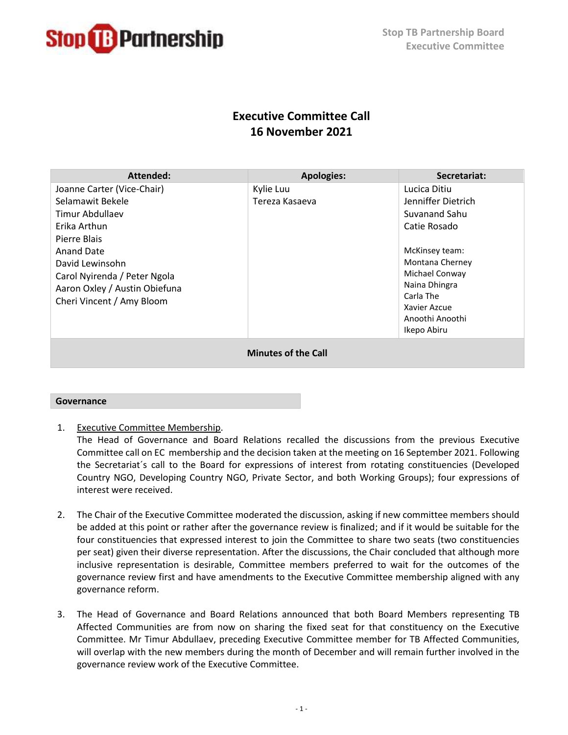

# **Executive Committee Call 16 November 2021**

| Attended:                     | <b>Apologies:</b> | Secretariat:       |
|-------------------------------|-------------------|--------------------|
| Joanne Carter (Vice-Chair)    | Kylie Luu         | Lucica Ditiu       |
| Selamawit Bekele              | Tereza Kasaeva    | Jenniffer Dietrich |
| Timur Abdullaev               |                   | Suvanand Sahu      |
| Erika Arthun                  |                   | Catie Rosado       |
| Pierre Blais                  |                   |                    |
| Anand Date                    |                   | McKinsey team:     |
| David Lewinsohn               |                   | Montana Cherney    |
| Carol Nyirenda / Peter Ngola  |                   | Michael Conway     |
| Aaron Oxley / Austin Obiefuna |                   | Naina Dhingra      |
| Cheri Vincent / Amy Bloom     |                   | Carla The          |
|                               |                   | Xavier Azcue       |
|                               |                   | Anoothi Anoothi    |
|                               |                   | Ikepo Abiru        |
| <b>Minutes of the Call</b>    |                   |                    |

## **Governance**

1. Executive Committee Membership.

The Head of Governance and Board Relations recalled the discussions from the previous Executive Committee call on EC membership and the decision taken at the meeting on 16 September 2021. Following the Secretariat´s call to the Board for expressions of interest from rotating constituencies (Developed Country NGO, Developing Country NGO, Private Sector, and both Working Groups); four expressions of interest were received.

- 2. The Chair of the Executive Committee moderated the discussion, asking if new committee members should be added at this point or rather after the governance review is finalized; and if it would be suitable for the four constituencies that expressed interest to join the Committee to share two seats (two constituencies per seat) given their diverse representation. After the discussions, the Chair concluded that although more inclusive representation is desirable, Committee members preferred to wait for the outcomes of the governance review first and have amendments to the Executive Committee membership aligned with any governance reform.
- 3. The Head of Governance and Board Relations announced that both Board Members representing TB Affected Communities are from now on sharing the fixed seat for that constituency on the Executive Committee. Mr Timur Abdullaev, preceding Executive Committee member for TB Affected Communities, will overlap with the new members during the month of December and will remain further involved in the governance review work of the Executive Committee.